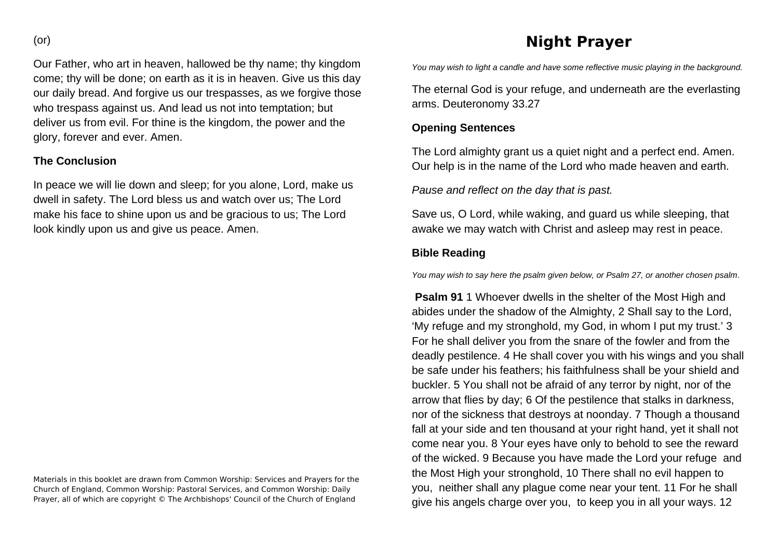Our Father, who art in heaven, hallowed be thy name; thy kingdom come; thy will be done; on earth as it is in heaven. Give us this day our daily bread. And forgive us our trespasses, as we forgive those who trespass against us. And lead us not into temptation; but deliver us from evil. For thine is the kingdom, the power and the glory, forever and ever. Amen.

#### **The Conclusion**

In peace we will lie down and sleep; for you alone, Lord, make us dwell in safety. The Lord bless us and watch over us; The Lord make his face to shine upon us and be gracious to us; The Lord look kindly upon us and give us peace. Amen.

Materials in this booklet are drawn from Common Worship: Services and Prayers for the Church of England, Common Worship: Pastoral Services, and Common Worship: Daily Prayer, all of which are copyright © The Archbishops' Council of the Church of England

# **Night Prayer**

*You may wish to light a candle and have some reflective music playing in the background.* 

The eternal God is your refuge, and underneath are the everlasting arms. Deuteronomy 33.27

#### **Opening Sentences**

The Lord almighty grant us a quiet night and a perfect end. Amen. Our help is in the name of the Lord who made heaven and earth.

*Pause and reflect on the day that is past.* 

Save us, O Lord, while waking, and guard us while sleeping, that awake we may watch with Christ and asleep may rest in peace.

## **Bible Reading**

*You may wish to say here the psalm given below, or Psalm 27, or another chosen psalm*.

**Psalm 91** 1 Whoever dwells in the shelter of the Most High and abides under the shadow of the Almighty, 2 Shall say to the Lord, 'My refuge and my stronghold, my God, in whom I put my trust.' 3 For he shall deliver you from the snare of the fowler and from the deadly pestilence. 4 He shall cover you with his wings and you shall be safe under his feathers; his faithfulness shall be your shield and buckler. 5 You shall not be afraid of any terror by night, nor of the arrow that flies by day; 6 Of the pestilence that stalks in darkness, nor of the sickness that destroys at noonday. 7 Though a thousand fall at your side and ten thousand at your right hand, yet it shall not come near you. 8 Your eyes have only to behold to see the reward of the wicked. 9 Because you have made the Lord your refuge and the Most High your stronghold, 10 There shall no evil happen to you, neither shall any plague come near your tent. 11 For he shall give his angels charge over you, to keep you in all your ways. 12